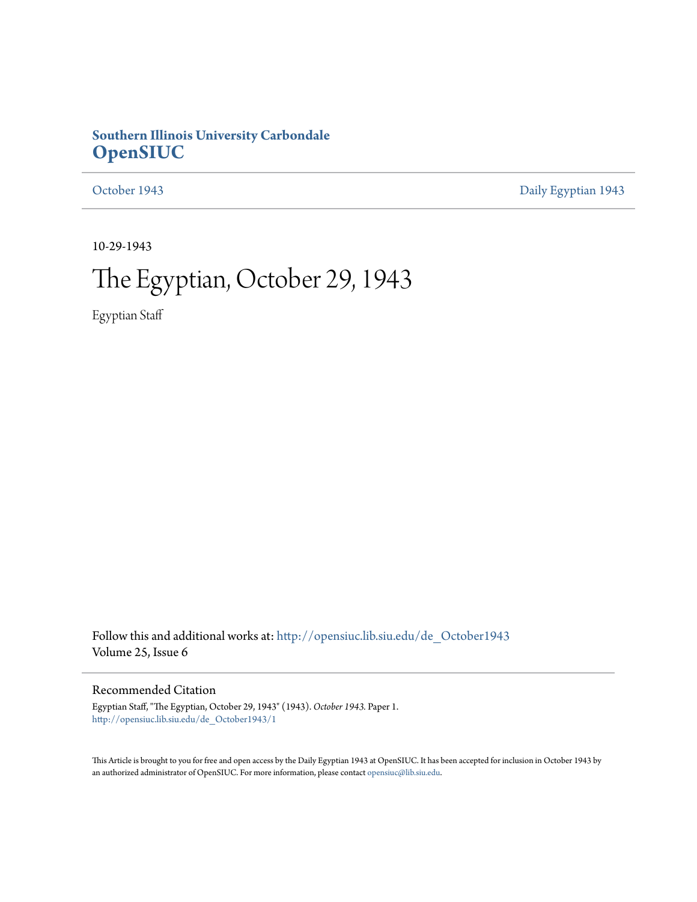### **Southern Illinois University Carbondale [OpenSIUC](http://opensiuc.lib.siu.edu?utm_source=opensiuc.lib.siu.edu%2Fde_October1943%2F1&utm_medium=PDF&utm_campaign=PDFCoverPages)**

[October 1943](http://opensiuc.lib.siu.edu/de_October1943?utm_source=opensiuc.lib.siu.edu%2Fde_October1943%2F1&utm_medium=PDF&utm_campaign=PDFCoverPages) [Daily Egyptian 1943](http://opensiuc.lib.siu.edu/de_1943?utm_source=opensiuc.lib.siu.edu%2Fde_October1943%2F1&utm_medium=PDF&utm_campaign=PDFCoverPages)

10-29-1943

# The Egyptian, October 29, 1943

Egyptian Staff

Follow this and additional works at: [http://opensiuc.lib.siu.edu/de\\_October1943](http://opensiuc.lib.siu.edu/de_October1943?utm_source=opensiuc.lib.siu.edu%2Fde_October1943%2F1&utm_medium=PDF&utm_campaign=PDFCoverPages) Volume 25, Issue 6

### Recommended Citation

Egyptian Staff, "The Egyptian, October 29, 1943" (1943). *October 1943.* Paper 1. [http://opensiuc.lib.siu.edu/de\\_October1943/1](http://opensiuc.lib.siu.edu/de_October1943/1?utm_source=opensiuc.lib.siu.edu%2Fde_October1943%2F1&utm_medium=PDF&utm_campaign=PDFCoverPages)

This Article is brought to you for free and open access by the Daily Egyptian 1943 at OpenSIUC. It has been accepted for inclusion in October 1943 by an authorized administrator of OpenSIUC. For more information, please contact [opensiuc@lib.siu.edu.](mailto:opensiuc@lib.siu.edu)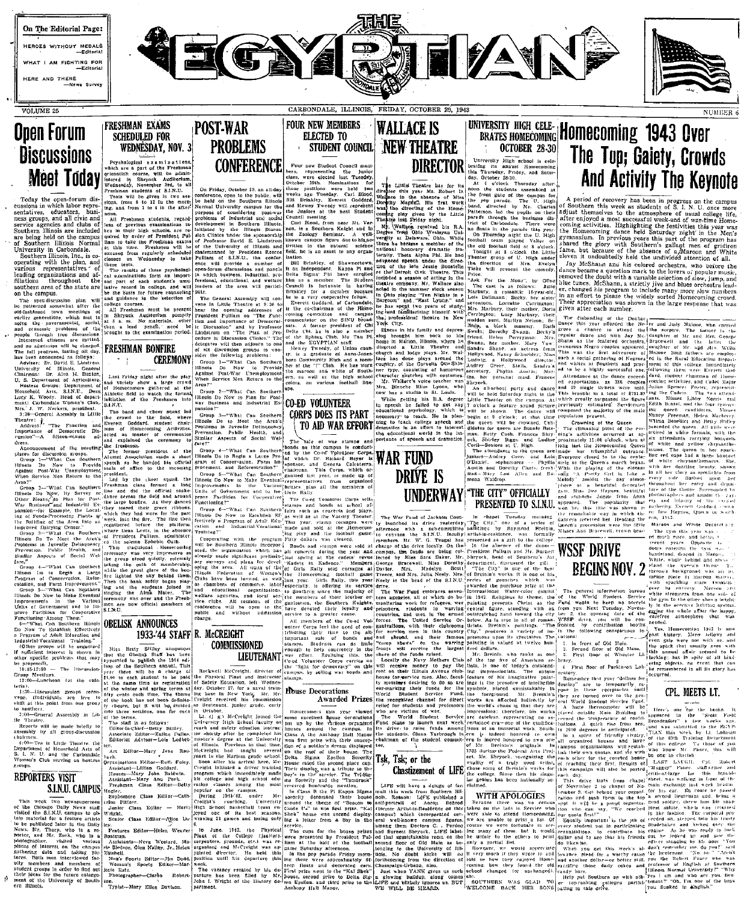

Today the open-form dis-<br>
accord the matter of the state of the factor is consistentially<br>
and from 1 to 4 in the numerical state of the state of the state<br>
state agencies and clubs of less of previous examinations, respe

organizations and af- eat examinations throughout the aut part of filiations throughout the state are lative<br>southern area of the state are lative<br>be the

ion plan will<br>chat after the<br>meetings of<br>which met to eutal social,<br>of the extracts are the charged,<br>ogram, lasting all day,<br>nnounced as follows:<br>Dr. David E. Linstrom,

ey or<br>Post

a Large whi Various cere Government and to International

The Canonic Community of the Captain Science of Advisors of Advisors of Advisors of Advisors and The Captain Science of Advisors of Advisors of the September of the September of the September of the September of the Septem

15-12:00

nearre, 186<br>Iold Arts of<br>Carbondale separators of Household Arts<br>S. I. N. U. and the Carbonal<br>Woman's Club serving as host

### **REPORTERS VISIT** S.I.N.U. CAMPUS

week two newspapermen<br>Chicago Daily News staff<br>the S.I.N.U. campus to ob-<br>sterial for a feature article<br>ublished later in the Daily<br>Mr. There, who is a re-

on.<br>Typist--Mary Ellen Dr



shevori than a lead pench.

**FRESHMAN BONFIRE CEREMONY** 

Ex-

while ing and the students joint singing the Alma Mater.<br>
ceremony was over and the ceremony was over and the<br>
men are now official members.

## 1933-'44 STAFF R. McCREIGHT

Stilley announce it the Obelisk Staff has been<br>pointed to publish the 1944 edi-

lleutenant, junior grade, carly

Ärt

Assistant<br>
Houses-<br>
Assistant<br>
Freshman

Hagler,<br>Sophomore Class Sophomore<br>
erine Pittzer.<br>
Junior Class Editor<br>
Wright.<br>
Senior Class Editor-

iy.<br>Features<br>™\*\*\*an oatman.<br>Assistants rie Bled

Men's<br>Woma<br>arle Ra .<br>Sports Edito



On Friday, October 29, an all-day

TO AID WAR EFFORT

 $\searrow$ 

 $T<sub>the</sub>$ 

will ther

ot six discussion groups to consider the following problems:<br>elder the following problems:<br>element = "What Can Souther"<br>illinois Do Now to Provi<br>August Fost-War Unemoter Area?"<br>
Crosp 2<sup>----</sup>What Can Southern 1978.<br>
Clinds Do Now to Plan for Post-<br>
War Business and Industrial Ex-<br>
pansion?"<br>
pansion?"

I CORPS DOES ITS PART

reach and the Contract Control Control Control Control Control Control Control Control Control Control Control Control Control Control Control Control Control Control Control Control Control Control Control Control Control

House Decoration



Detober.<br>
1. (j g.) McCreight jo<br>
versity High School (a<br>
shortly after he completed<br>
shortly after he completed<br>
der's degree at the Ut Homecomers

Little Theatre

ea received bis under the direc Bonatello

nds on this campus to the Corps.<br>This Dr. Bichard Beyer is WAR FUMD DRIVE IS

artist-h

**Awarded Prizes** -<br>recognized channel

this year viewe cometer house that year viewing<br>by the various decoration<br>by the various organization<br>around the campus.<br>the Atheory Hall Mann<br>soldier's dresm displayer<br>coof of their house. The

Sigma Epsilon Soverity Tsk, Tsk; or the Chastizement of LIFE

group of U. High<br>etter of Mrs

strey Green and Lois Mary Lou<br>Waldrop.

# **UNDERWAY THE CITY" OFFICIALLY**<br>**PRESENTED TO S.I.N.U.**

Ereinin Raymond ymona<br>
was formally<br>
f to the college.<br>
i of the donor—<br>
i and Mr. Burnett<br>
is contently only<br>
set the gift.<br>
i the box

the nurchas Religious In

**WITH APOLOGIES** 

# And Activity The Keynote

A period of recovery has been in progress on the Southern this week as students of S. J. N. U. on this week was the thermal contract of sum at contract of sum at contract of the attenuation of the state of the state of th etivities wei<br>\*b festivities this year was oming activities. Highlighting the feativities this year way<br>be Bomeooming dance held Saturday night in the Men'<br>haves the glory with Southern's gallagt men of griding<br>haved the glory with Southern's gallagt men of griding

Jay McShanin and his colored orchestra, who before the<br>law McShanin and his colored orchestra, who before the<br>moved the doubt with a variable selection of slow, jump, and<br>imoved the doubt with a variable selection of slow, his program to include many more slow<br>to please the widely sorted Homecomic au a itau<br>number appreciation was shown in the lay given atter each number.

disbanding of the Dunb mounting of the Dunbary and Judy May the rest of attend the Weeler and Judy May thence to attend the the sceptre. The capacity of the sceptre.

anticipates rivatry

Queen's procession were the lifth<br>Misses Ann Bracewell, trown bear

**WSSF DRIVE** 

**BEGINS NOV. 2** 

er her in chite

CPL. MEETS LT.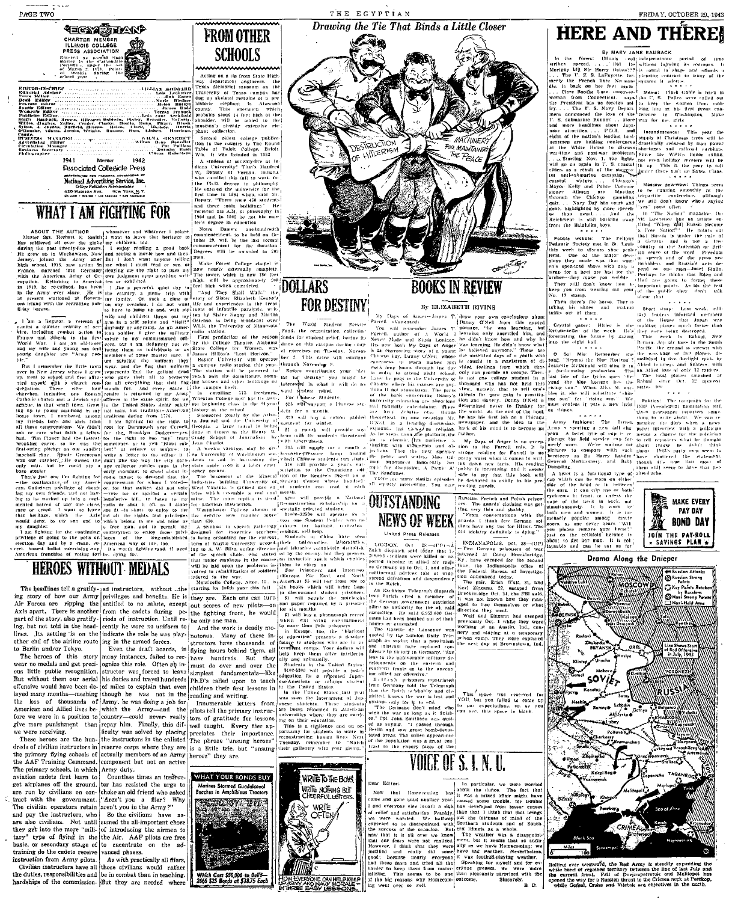чахлени



**Disocioled Collegiate Press** mentakayas esa national asventisma av<br>National Advertising Service, Inc.<br>College Publishers Representative

ardier<br>Amm. Pitzer<br>Lieb

1942

par Pulitana<br>Par Pulitana<br>Clavos Roberton

**SCHOOLS** 

Acting on a tip from State High<br>uy department engineers, the<br>exas Memorial museum on the IILLGCCGA EALLILL LAR GEORGADE TREES IS SERVED TO THE MAIN THE MAIN CARR (THE MAIN CARR CONTROL TO THE MAIN CARR (THE MAIN CARR CONTROL) IS A DESCRIPTION OF THE MAIN CARR (THE MAIN CARR CONTROL) IS also that the served that the served that 

phant collection<br>- Second oblest college publica<br>tion in the country is The Round<br>Table of Beloit College, Beloit.<br>Wik, It was founded in 1855  $\frac{1}{100}$ A student at seventy-five at line<br>
diama University! That's Manfred<br>
W<sub>G</sub> Deputy of Vermon, Indiana,<br>
With candided this tail to work for<br>
the Ph.D. derece in plitteneophy<br>
He entered the university for the

WHAT YOUR BONDS BUY

**Beaches** 

**Small Condulation** 

the AAF Training Command, component but not on active<br>The primary schools, in which  $\Delta$ mry duty.<br>
The primary schools, in which  $\Delta$ mry duty.<br>
aviation cadets first learn to<br>  $\Box$  Countless times an instruction<br>
are the

and pay the instructors, who is other evidence are also civilians. Not until sumed the al-important chore they get into the more "mili- of introducing the airmen to tary" type of flying in the the Air. AAF pilots are free

because, to sectionary state of the state of the state training do the cardial section and phases.<br>
Instruction from Army pilots. As with practically all fliers,<br>
Civilian instructions have all those eivilians would rather hardships of the commission- But they are needed where

**FROM OTHER** 

**WRIETO THE BOYS!** 

.<br>WRITE NOTHING BUT

OFTEN

From Editor:  $\frac{1}{100}$  and Editor:  $\frac{1}{100}$  and  $\frac{1}{100}$  and  $\frac{1}{100}$  and  $\frac{1}{100}$  and  $\frac{1}{100}$  and  $\frac{1}{100}$  and  $\frac{1}{100}$  and  $\frac{1}{100}$  and  $\frac{1}{100}$  and  $\frac{1}{100}$  and  $\frac{1}{100}$  and  $\frac{1}{10$ piecine and really all some inves induces the executions and real point of the product point of the product of the state of the latter of the latter of the latter of the latter of the latter of the latter of the latter of



![](_page_2_Picture_83.jpeg)

Drawing the Tie That Binds a Little Closer

THE EGYPTIAN

**HERE AND THERE!** 

**HERE A MADE THE AND THE SET IN THE REAL REPORT OF THE SET IN THE SET IN THE SET IN THE SET IN THE SET IN THE SET IN THE SET IN THE SET IN THE SET IN THE SET IN THE SET IN THE SET IN THE SET IN THE SET IN THE SET IN THE S**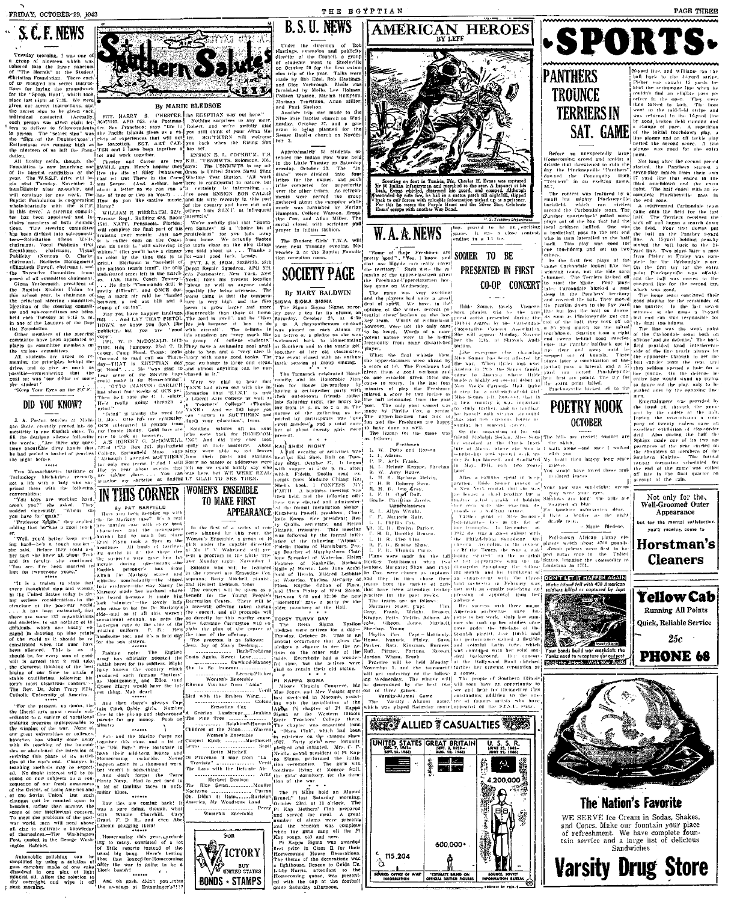## S. C. F. NEWS

nornine i morning, r was one on<br>of nimeteen which was<br>also the Inner safatum<br>Hermit" at the Student<br>Foundation, There each<br>Eyed his secret instruc-

ave peen ap<br>sminittee mo<br>.committees.

duents are urged in the process<br>and to give as much as  $\frac{1}{168}$ —<br>-remembering that the action<br>-remembering that the hear<br>was "one déliar or more" rould -<br>Keep Your Eyes on the S.C.P.

DID YOU KNOW?

Crind" (Crind" (Crind" )<br>ate, recently proved his do (OCS subt<br>by to one English class, To any Cousin<br>deadpan silence (ollowing nice to be<br>model)

is the particle of the blue of the state of the blue of the state of the state of the state of the state of the state of the state of the state of the state of the state of the state of the state of the state of the state

University of America, 1981 and then there's always<br>which respects to detail and then there's always<br>follows the set of the set of the set of the set of the set of the set of the set of the properties in<br>program indispens

mobile polishing can<br>ned by using a solution<br>amphor made of one c<br>ed in one pint of 1<br>i oil. Allow the solution

![](_page_3_Picture_18.jpeg)

### By MARIE BLEDSOE

"Simple Here" a steering commuter of the control of the steering of the steering of the steering and the steering of the steering of the steering of the steering of the steering of the steering of the steering of the stee

In the seeching politicity, we know you don't left?<br>OL (The fact in second the the film of the seeching politicity, we know you don't like some<br>form and the second three terms in the film seek that the second three terms

s and the service base of the service by cometer the result of the service base of the service base of the service in the service of the service of the service of the service of the service of the service of the service o

It is one Establish class. To pure measurem as pointed to minimize your enteration", from the principal and the solid distribution of the solid from the solid from the solid from the solid from the solid from the solid fr

a life with a half is the basis of the temperature of the space of the space of the space of the space of the space of the space of the space of the space of the space of the space of the space of the space of the space o

duced somery, and<br>Montgomery, and<br>- Morvi would

Queen Mary) would me

**A MICTORY** /ICTORY |

**BONDS + STAMPS** 

Stiller Cox (1980) in the main of Pi line Cox (1980) in Pi chapter of Pi line Cox (1981) and the Sigman at the Western Balakireff-Howerth (1981) and the Control of The chapter was organized by the main of the Control of Th Children of the womer<br>Etndr torps<br>⊣ Int

Women's Ensemble

ing to many, consisted<br>of little reports instead<br>usual big bang. Here's<br>that that longel-for-House

of And oh gosh, didn't you interest.<br>the awnings at Entsminger's?!!!

Under the direction of Stoclevil

**B.S.U. NEWS** 

THE EGYPTIAN

 $\begin{array}{ccc}\n\text{c. } & \text{on } \text{Sat.} \\
\text{on } \text{Sat.} \\
\text{a. } & \text{the } & \text{the } \\
\text{a. } & \text{the } & \text{the } \\
\text{b. } & \text{the } & \text{the } \\
\text{c. } & \text{the } & \text{the } \\
\text{d. } & \text{the } & \text{the } \\
\text{d. } & \text{the } & \text{the } \\
\text{d. } & \text{d. } & \text{d. } \\
\text{d. } & \text{d. } & \text{d. } \\
\text{d. } & \text{d. } & \text{d. } \\
\text{d$ promotomera in<br>Composition social closed with scripture and

The Student Ciris' Y.W.A. will<br>meet next Tuesday evening. No<br>vember 2, at the Baptist Founda<br>tion reception room.  $\frac{\text{with}}{\text{N} \cdot \text{c}}$ 

**SOCIETY PAGE** 

By MARY BALDWIN **IGMA SIGMA SIGMA** 

eas on wennesday.<br>
game was very exciting players had quite a great<br>
of spidt. We have, in the<br>
a of the writev, several polytical<br>
cheer leaders on the loos 

TOPSY

have done so well.<br>The Bueup for the game<br>: follows:

**Freshmer** 

W. A. A. NEWS

New Strank, Reprinciple Research<br>
L. Amy House, Strang, Aleksin, R. Dolorey Suva, B. Darbara, New Strang, R. D. Company, R. Company, R. Company, R. Company, R. Company, S. Company, R. Company, R. Company, R. Company, R. Co read Pa-<br>dang Kat<sub>1</sub> L H.<br>ISS MY<sub>1</sub> C H.<br>The Handal R H. 

C. F. Marjorle Rati<br>L. L. Phyllis Cox.<br>M. H. B., Evelyn P.<br>C. H. B., Dorothy D.<br>L. F. R. Scotus S.<br>L. F. R. Neghia C.<br>Plans were unde 1

TURVY DAY

пшкеген<br>- Намали

game, It was a<br>ending in a 14 to-

upperclassmen had lots of

AMERICAN HEROES

![](_page_3_Picture_66.jpeg)

![](_page_3_Picture_74.jpeg)

PRESENTED IN FIRST

CO-OP CONCERT

grey were your<br>Shalows are long-<br>wrapped in blue

 $\begin{tabular}{lcccc} \bf r:u(1)=\bf r:u(1)=&\bf r:u(2)=&\bf r:u(3)=&\bf p:u(4)=&\bf p:u(5)=&\bf p:u(6)=&\bf p:u(7)=&\bf p:u(8)=&\bf p:u(9)=&\bf p:u(1)=&\bf p:u(2)=&\bf p:u(3)=&\bf p:u(4)=&\bf p:u(5)=&\bf p:u(6)=&\bf p:u(7)=&\bf p:u(8)=&\bf p:u(8)=&\bf p:u(9)=&\bf p:u(1)=&\bf p:u(1)=&\bf p:u(1)=&\bf p:u$ 

DON'T LET IT HAPPEN AGAIN

Running All Points .<br>Quick, Reliable Service 橙 Your bonds build war materials the<br>Yanks need to recopture our outpost **PHONE 68** 

![](_page_3_Picture_85.jpeg)

The Nation's Favorite WE SERVE Ice Cream in Solas, Shakes,<br>and Cones. Make our fountain your place<br>of refreshment. We have complete foun-<br>tain service and a large int of delicious<br>Sandwiches

**Varsity Drug Store** 

![](_page_3_Picture_87.jpeg)

![](_page_3_Picture_88.jpeg)

![](_page_3_Picture_89.jpeg)

ek to the 49-yard st<br>was caught 15 yards hind the structure in the part of the part of the field of the form of the part of the field of the field of the field of the part of the minimization of the minimization of the minimization of the minimization of the min

PAGE THREE

Hefore an unexpectedly large<br>distribution convolund and analysis of distribution of the distribution<br>distribution of the procedure of the downed the Community Transfer<br>downed the Community High Transfers of the Second Sec

**TROUNCE** 

**TERRIERS IN** SAT. GAME

26-7,<br>The<br>small<br>backtle<br>ground ontest was featured by  $n$  com<br>but mighty Pinckneyville the<br>eld. which ran circles A<br>d the Curbondale team. The can

e extra point failed.<br>Pinckneyville kicked off to the

**POETRY NOOK OCTOBER** 

drill Also daving the half the<br>Sphinx made one of its two<br>pearamers of the year charged<br>the shoulders of members of<br>Saulthern Kultzhu, The four<br>relief for the random shoulded<br>the end of the random was called<br>account of the

Not only for the.<br>Well-Groomed Outer<br>Appearance

ut for the mental satisfaction you'll receive, come to

Horstman's **Cleaners** 

**Yellow Cab** 

 $25c$